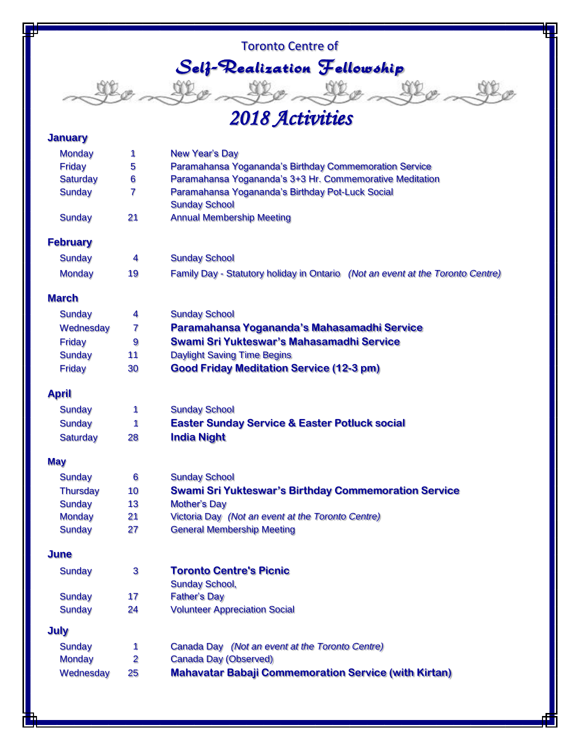## Toronto Centre of Self-Realization Fellowship and the the them

## *2018 Activities*

œ

### **January**

| <b>Monday</b>   | 1              | <b>New Year's Day</b>                                                          |
|-----------------|----------------|--------------------------------------------------------------------------------|
| <b>Friday</b>   | 5              | Paramahansa Yogananda's Birthday Commemoration Service                         |
| <b>Saturday</b> | 6              | Paramahansa Yogananda's 3+3 Hr. Commemorative Meditation                       |
| <b>Sunday</b>   | 7              | Paramahansa Yogananda's Birthday Pot-Luck Social<br><b>Sunday School</b>       |
| <b>Sunday</b>   | 21             | <b>Annual Membership Meeting</b>                                               |
| <b>February</b> |                |                                                                                |
| <b>Sunday</b>   | 4              | <b>Sunday School</b>                                                           |
| <b>Monday</b>   | 19             | Family Day - Statutory holiday in Ontario (Not an event at the Toronto Centre) |
| <b>March</b>    |                |                                                                                |
| <b>Sunday</b>   | 4              | <b>Sunday School</b>                                                           |
| Wednesday       | 7              | Paramahansa Yogananda's Mahasamadhi Service                                    |
| <b>Friday</b>   | 9              | Swami Sri Yukteswar's Mahasamadhi Service                                      |
| <b>Sunday</b>   | 11             | <b>Daylight Saving Time Begins</b>                                             |
| <b>Friday</b>   | 30             | <b>Good Friday Meditation Service (12-3 pm)</b>                                |
| <b>April</b>    |                |                                                                                |
| <b>Sunday</b>   | 1              | <b>Sunday School</b>                                                           |
| <b>Sunday</b>   | 1              | <b>Easter Sunday Service &amp; Easter Potluck social</b>                       |
| <b>Saturday</b> | 28             | <b>India Night</b>                                                             |
| <b>May</b>      |                |                                                                                |
| <b>Sunday</b>   | 6              | <b>Sunday School</b>                                                           |
| <b>Thursday</b> | 10             | <b>Swami Sri Yukteswar's Birthday Commemoration Service</b>                    |
| <b>Sunday</b>   | 13             | <b>Mother's Day</b>                                                            |
| <b>Monday</b>   | 21             | Victoria Day (Not an event at the Toronto Centre)                              |
| <b>Sunday</b>   | 27             | <b>General Membership Meeting</b>                                              |
| <b>June</b>     |                |                                                                                |
| <b>Sunday</b>   | 3              | <b>Toronto Centre's Picnic</b>                                                 |
|                 |                | <b>Sunday School,</b>                                                          |
| <b>Sunday</b>   | 17             | <b>Father's Day</b>                                                            |
| <b>Sunday</b>   | 24             | <b>Volunteer Appreciation Social</b>                                           |
| <b>July</b>     |                |                                                                                |
| <b>Sunday</b>   | 1              | Canada Day (Not an event at the Toronto Centre)                                |
| <b>Monday</b>   | $\overline{2}$ | <b>Canada Day (Observed)</b>                                                   |
| Wednesday       | 25             | <b>Mahavatar Babaji Commemoration Service (with Kirtan)</b>                    |
|                 |                |                                                                                |